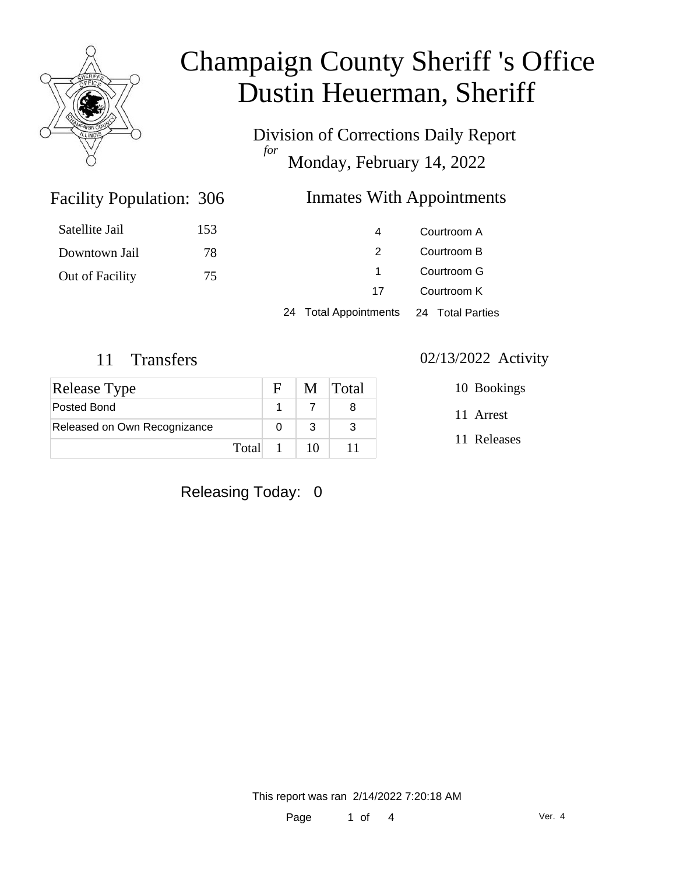

Division of Corrections Daily Report *for* Monday, February 14, 2022

#### Inmates With Appointments

| Satellite Jail  | 153 | 4                                      | Courtroom A                |  |
|-----------------|-----|----------------------------------------|----------------------------|--|
| Downtown Jail   | 78  | 2                                      | Courtroom B                |  |
| Out of Facility | 75  |                                        | Courtroom G<br>Courtroom K |  |
|                 |     | 17                                     |                            |  |
|                 |     | 24 Total Appointments 24 Total Parties |                            |  |

Facility Population: 306

| <b>Release Type</b>          |         | F |     | M Total |
|------------------------------|---------|---|-----|---------|
| Posted Bond                  |         |   |     |         |
| Released on Own Recognizance |         |   |     | - 3     |
|                              | Total 1 |   | -10 |         |

Releasing Today: 0

#### 11 Transfers 02/13/2022 Activity

10 Bookings

11 Arrest

11 Releases

This report was ran 2/14/2022 7:20:18 AM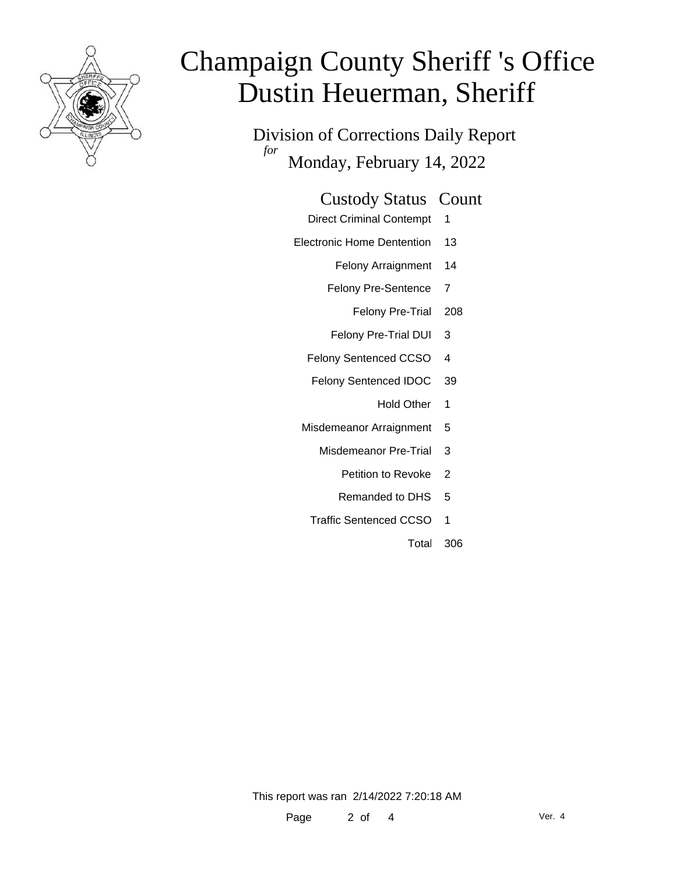

Division of Corrections Daily Report *for* Monday, February 14, 2022

| <b>Custody Status Count</b> |  |
|-----------------------------|--|
|-----------------------------|--|

- Direct Criminal Contempt 1
- Electronic Home Dentention 13
	- Felony Arraignment 14
	- Felony Pre-Sentence 7
		- Felony Pre-Trial 208
	- Felony Pre-Trial DUI 3
	- Felony Sentenced CCSO 4
	- Felony Sentenced IDOC 39
		- Hold Other 1
	- Misdemeanor Arraignment 5
		- Misdemeanor Pre-Trial 3
			- Petition to Revoke 2
			- Remanded to DHS 5
		- Traffic Sentenced CCSO 1
			- Total 306

This report was ran 2/14/2022 7:20:18 AM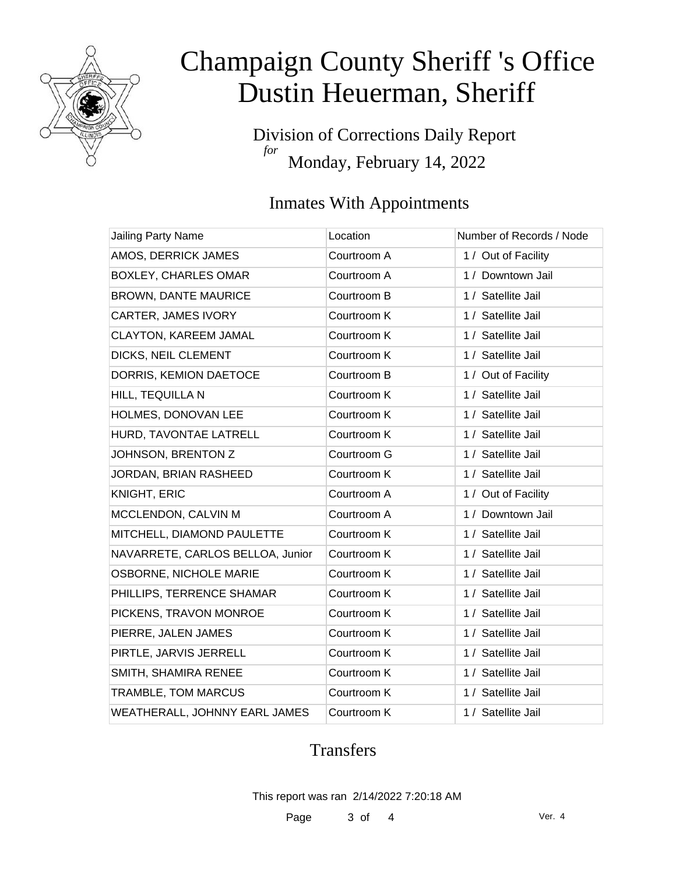

Division of Corrections Daily Report *for* Monday, February 14, 2022

### Inmates With Appointments

| Jailing Party Name               | Location    | Number of Records / Node |
|----------------------------------|-------------|--------------------------|
| AMOS, DERRICK JAMES              | Courtroom A | 1 / Out of Facility      |
| <b>BOXLEY, CHARLES OMAR</b>      | Courtroom A | 1 / Downtown Jail        |
| <b>BROWN, DANTE MAURICE</b>      | Courtroom B | 1 / Satellite Jail       |
| CARTER, JAMES IVORY              | Courtroom K | 1 / Satellite Jail       |
| <b>CLAYTON, KAREEM JAMAL</b>     | Courtroom K | 1 / Satellite Jail       |
| DICKS, NEIL CLEMENT              | Courtroom K | 1 / Satellite Jail       |
| DORRIS, KEMION DAETOCE           | Courtroom B | 1 / Out of Facility      |
| HILL, TEQUILLA N                 | Courtroom K | 1 / Satellite Jail       |
| HOLMES, DONOVAN LEE              | Courtroom K | 1 / Satellite Jail       |
| HURD, TAVONTAE LATRELL           | Courtroom K | 1 / Satellite Jail       |
| JOHNSON, BRENTON Z               | Courtroom G | 1 / Satellite Jail       |
| JORDAN, BRIAN RASHEED            | Courtroom K | 1 / Satellite Jail       |
| <b>KNIGHT, ERIC</b>              | Courtroom A | 1 / Out of Facility      |
| MCCLENDON, CALVIN M              | Courtroom A | 1 / Downtown Jail        |
| MITCHELL, DIAMOND PAULETTE       | Courtroom K | 1 / Satellite Jail       |
| NAVARRETE, CARLOS BELLOA, Junior | Courtroom K | 1 / Satellite Jail       |
| OSBORNE, NICHOLE MARIE           | Courtroom K | 1 / Satellite Jail       |
| PHILLIPS, TERRENCE SHAMAR        | Courtroom K | 1 / Satellite Jail       |
| PICKENS, TRAVON MONROE           | Courtroom K | 1 / Satellite Jail       |
| PIERRE, JALEN JAMES              | Courtroom K | 1 / Satellite Jail       |
| PIRTLE, JARVIS JERRELL           | Courtroom K | 1 / Satellite Jail       |
| SMITH, SHAMIRA RENEE             | Courtroom K | 1 / Satellite Jail       |
| TRAMBLE, TOM MARCUS              | Courtroom K | 1 / Satellite Jail       |
| WEATHERALL, JOHNNY EARL JAMES    | Courtroom K | 1 / Satellite Jail       |

### **Transfers**